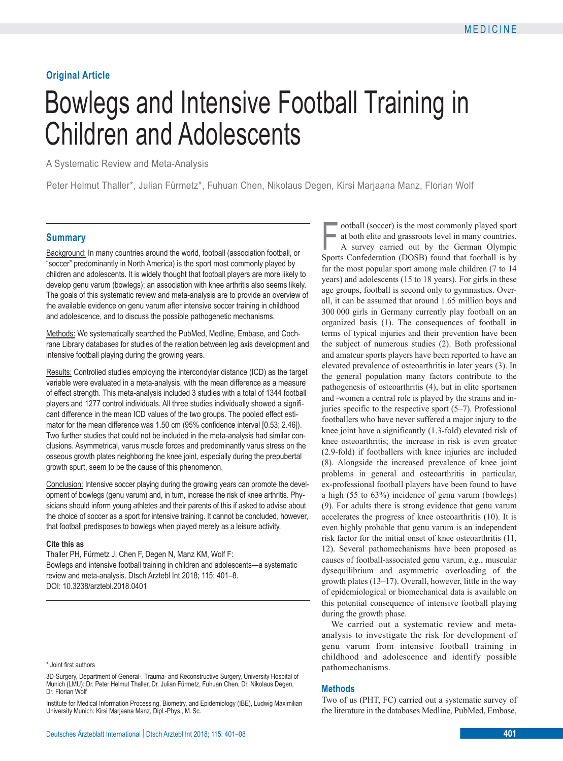# **Original Article**

# Bowlegs and Intensive Football Training in Children and Adolescents

A Systematic Review and Meta-Analysis

Peter Helmut Thaller\*, Julian Fürmetz\*, Fuhuan Chen, Nikolaus Degen, Kirsi Marjaana Manz, Florian Wolf

#### **Summary**

Background: In many countries around the world, football (association football, or "soccer" predominantly in North America) is the sport most commonly played by children and adolescents. It is widely thought that football players are more likely to develop genu varum (bowlegs); an association with knee arthritis also seems likely. The goals of this systematic review and meta-analysis are to provide an overview of the available evidence on genu varum after intensive soccer training in childhood and adolescence, and to discuss the possible pathogenetic mechanisms.

Methods: We systematically searched the PubMed, Medline, Embase, and Cochrane Library databases for studies of the relation between leg axis development and intensive football playing during the growing years.

Results: Controlled studies employing the intercondylar distance (ICD) as the target variable were evaluated in a meta-analysis, with the mean difference as a measure of effect strength. This meta-analysis included 3 studies with a total of 1344 football players and 1277 control individuals. All three studies individually showed a significant difference in the mean ICD values of the two groups. The pooled effect estimator for the mean difference was 1.50 cm (95% confidence interval [0.53; 2.46]). Two further studies that could not be included in the meta-analysis had similar conclusions. Asymmetrical, varus muscle forces and predominantly varus stress on the osseous growth plates neighboring the knee joint, especially during the prepubertal growth spurt, seem to be the cause of this phenomenon.

Conclusion: Intensive soccer playing during the growing years can promote the development of bowlegs (genu varum) and, in turn, increase the risk of knee arthritis. Physicians should inform young athletes and their parents of this if asked to advise about the choice of soccer as a sport for intensive training. It cannot be concluded, however, that football predisposes to bowlegs when played merely as a leisure activity.

#### **Cite this as**

Thaller PH, Fürmetz J, Chen F, Degen N, Manz KM, Wolf F: Bowlegs and intensive football training in children and adolescents—a systematic review and meta-analysis. Dtsch Arztebl Int 2018; 115: 401–8. DOI: 10.3238/arztebl.2018.0401

\* Joint first authors

Institute for Medical Information Processing, Biometry, and Epidemiology (IBE), Ludwig Maximilian University Munich: Kirsi Marjaana Manz, Dipl.-Phys., M. Sc.

ootball (soccer) is the most commonly played sport at both elite and grassroots level in many countries.

F<br>C A survey carried out by the German Olympic Sports Confederation (DOSB) found that football is by far the most popular sport among male children (7 to 14 years) and adolescents (15 to 18 years). For girls in these age groups, football is second only to gymnastics. Overall, it can be assumed that around 1.65 million boys and 300 000 girls in Germany currently play football on an organized basis (1). The consequences of football in terms of typical injuries and their prevention have been the subject of numerous studies (2). Both professional and amateur sports players have been reported to have an elevated prevalence of osteoarthritis in later years (3). In the general population many factors contribute to the pathogenesis of osteoarthritis (4), but in elite sportsmen and -women a central role is played by the strains and injuries specific to the respective sport (5–7). Professional footballers who have never suffered a major injury to the knee joint have a significantly (1.3-fold) elevated risk of knee osteoarthritis; the increase in risk is even greater (2.9-fold) if footballers with knee injuries are included (8). Alongside the increased prevalence of knee joint problems in general and osteoarthritis in particular, ex-professional football players have been found to have a high (55 to 63%) incidence of genu varum (bowlegs) (9). For adults there is strong evidence that genu varum accelerates the progress of knee osteoarthritis (10). It is even highly probable that genu varum is an independent risk factor for the initial onset of knee osteoarthritis (11, 12). Several pathomechanisms have been proposed as causes of football-associated genu varum, e.g., muscular dysequilibrium and asymmetric overloading of the growth plates (13–17). Overall, however, little in the way of epidemiological or biomechanical data is available on this potential consequence of intensive football playing during the growth phase.

We carried out a systematic review and metaanalysis to investigate the risk for development of genu varum from intensive football training in childhood and adolescence and identify possible pathomechanisms.

### **Methods**

Two of us (PHT, FC) carried out a systematic survey of the literature in the databases Medline, PubMed, Embase,

<sup>3</sup>D-Surgery, Department of General-, Trauma- and Reconstructive Surgery, University Hospital of Munich (LMU): Dr. Peter Helmut Thaller, Dr. Julian Fürmetz, Fuhuan Chen, Dr. Nikolaus Degen, Dr. Florian Wolf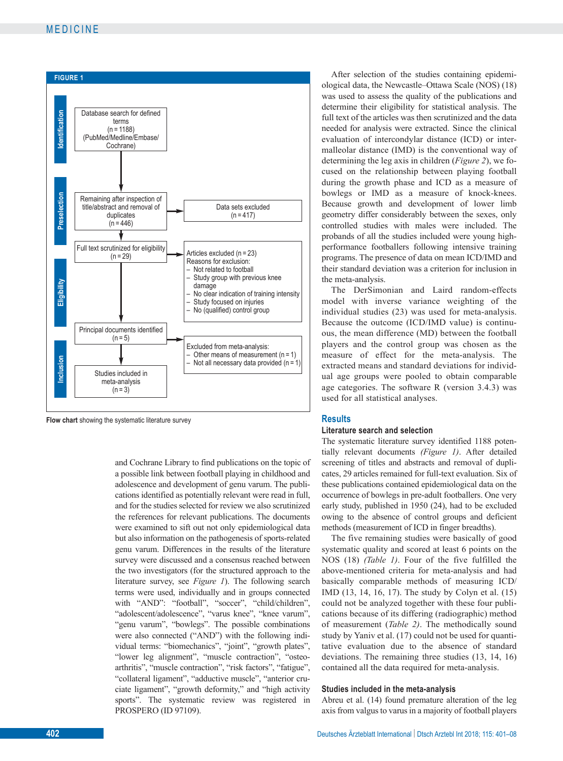## MEDICINE



and Cochrane Library to find publications on the topic of a possible link between football playing in childhood and adolescence and development of genu varum. The publications identified as potentially relevant were read in full, and for the studies selected for review we also scrutinized the references for relevant publications. The documents were examined to sift out not only epidemiological data but also information on the pathogenesis of sports-related genu varum. Differences in the results of the literature survey were discussed and a consensus reached between the two investigators (for the structured approach to the literature survey, see *Figure 1*). The following search terms were used, individually and in groups connected with "AND": "football", "soccer", "child/children", "adolescent/adolescence", "varus knee", "knee varum", "genu varum", "bowlegs". The possible combinations were also connected ("AND") with the following individual terms: "biomechanics", "joint", "growth plates", "lower leg alignment", "muscle contraction", "osteoarthritis", "muscle contraction", "risk factors", "fatigue", "collateral ligament", "adductive muscle", "anterior cruciate ligament", "growth deformity," and "high activity sports". The systematic review was registered in PROSPERO (ID 97109).

After selection of the studies containing epidemiological data, the Newcastle–Ottawa Scale (NOS) (18) was used to assess the quality of the publications and determine their eligibility for statistical analysis. The full text of the articles was then scrutinized and the data needed for analysis were extracted. Since the clinical evaluation of intercondylar distance (ICD) or intermalleolar distance (IMD) is the conventional way of determining the leg axis in children (*Figure 2*), we focused on the relationship between playing football during the growth phase and ICD as a measure of bowlegs or IMD as a measure of knock-knees. Because growth and development of lower limb geometry differ considerably between the sexes, only controlled studies with males were included. The probands of all the studies included were young highperformance footballers following intensive training programs. The presence of data on mean ICD/IMD and their standard deviation was a criterion for inclusion in the meta-analysis.

The DerSimonian and Laird random-effects model with inverse variance weighting of the individual studies (23) was used for meta-analysis. Because the outcome (ICD/IMD value) is continuous, the mean difference (MD) between the football players and the control group was chosen as the measure of effect for the meta-analysis. The extracted means and standard deviations for individual age groups were pooled to obtain comparable age categories. The software R (version 3.4.3) was used for all statistical analyses.

#### **Results**

#### **Literature search and selection**

The systematic literature survey identified 1188 potentially relevant documents *(Figure 1)*. After detailed screening of titles and abstracts and removal of duplicates, 29 articles remained for full-text evaluation. Six of these publications contained epidemiological data on the occurrence of bowlegs in pre-adult footballers. One very early study, published in 1950 (24), had to be excluded owing to the absence of control groups and deficient methods (measurement of ICD in finger breadths).

The five remaining studies were basically of good systematic quality and scored at least 6 points on the NOS (18) *(Table 1)*. Four of the five fulfilled the above-mentioned criteria for meta-analysis and had basically comparable methods of measuring ICD/ IMD (13, 14, 16, 17). The study by Colyn et al. (15) could not be analyzed together with these four publications because of its differing (radiographic) method of measurement (*Table 2)*. The methodically sound study by Yaniv et al. (17) could not be used for quantitative evaluation due to the absence of standard deviations. The remaining three studies (13, 14, 16) contained all the data required for meta-analysis.

#### **Studies included in the meta-analysis**

Abreu et al. (14) found premature alteration of the leg axis from valgus to varus in a majority of football players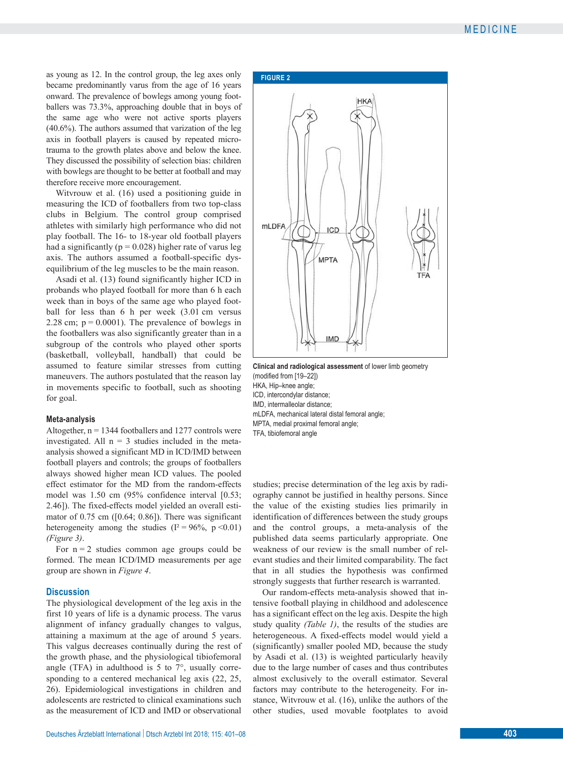as young as 12. In the control group, the leg axes only became predominantly varus from the age of 16 years onward. The prevalence of bowlegs among young footballers was 73.3%, approaching double that in boys of the same age who were not active sports players (40.6%). The authors assumed that varization of the leg axis in football players is caused by repeated microtrauma to the growth plates above and below the knee. They discussed the possibility of selection bias: children with bowlegs are thought to be better at football and may therefore receive more encouragement.

Witvrouw et al. (16) used a positioning guide in measuring the ICD of footballers from two top-class clubs in Belgium. The control group comprised athletes with similarly high performance who did not play football. The 16- to 18-year old football players had a significantly ( $p = 0.028$ ) higher rate of varus leg axis. The authors assumed a football-specific dysequilibrium of the leg muscles to be the main reason.

Asadi et al. (13) found significantly higher ICD in probands who played football for more than 6 h each week than in boys of the same age who played football for less than 6 h per week (3.01 cm versus 2.28 cm;  $p = 0.0001$ ). The prevalence of bowlegs in the footballers was also significantly greater than in a subgroup of the controls who played other sports (basketball, volleyball, handball) that could be assumed to feature similar stresses from cutting maneuvers. The authors postulated that the reason lay in movements specific to football, such as shooting for goal.

#### **Meta-analysis**

Altogether,  $n = 1344$  footballers and 1277 controls were investigated. All  $n = 3$  studies included in the metaanalysis showed a significant MD in ICD/IMD between football players and controls; the groups of footballers always showed higher mean ICD values. The pooled effect estimator for the MD from the random-effects model was 1.50 cm (95% confidence interval [0.53; 2.46]). The fixed-effects model yielded an overall estimator of 0.75 cm ([0.64; 0.86]). There was significant heterogeneity among the studies  $(I^2 = 96\%, p < 0.01)$ *(Figure 3)*.

For  $n = 2$  studies common age groups could be formed. The mean ICD/IMD measurements per age group are shown in *Figure 4*.

#### **Discussion**

The physiological development of the leg axis in the first 10 years of life is a dynamic process. The varus alignment of infancy gradually changes to valgus, attaining a maximum at the age of around 5 years. This valgus decreases continually during the rest of the growth phase, and the physiological tibiofemoral angle (TFA) in adulthood is  $5$  to  $7^\circ$ , usually corresponding to a centered mechanical leg axis (22, 25, 26). Epidemiological investigations in children and adolescents are restricted to clinical examinations such as the measurement of ICD and IMD or observational



**Clinical and radiological assessment** of lower limb geometry (modified from [19–22]) HKA, Hip–knee angle; ICD, intercondylar distance; IMD, intermalleolar distance; mLDFA, mechanical lateral distal femoral angle; MPTA, medial proximal femoral angle; TFA, tibiofemoral angle

studies; precise determination of the leg axis by radiography cannot be justified in healthy persons. Since the value of the existing studies lies primarily in identification of differences between the study groups and the control groups, a meta-analysis of the published data seems particularly appropriate. One weakness of our review is the small number of relevant studies and their limited comparability. The fact that in all studies the hypothesis was confirmed strongly suggests that further research is warranted.

Our random-effects meta-analysis showed that intensive football playing in childhood and adolescence has a significant effect on the leg axis. Despite the high study quality *(Table 1)*, the results of the studies are heterogeneous. A fixed-effects model would yield a (significantly) smaller pooled MD, because the study by Asadi et al. (13) is weighted particularly heavily due to the large number of cases and thus contributes almost exclusively to the overall estimator. Several factors may contribute to the heterogeneity. For instance, Witvrouw et al. (16), unlike the authors of the other studies, used movable footplates to avoid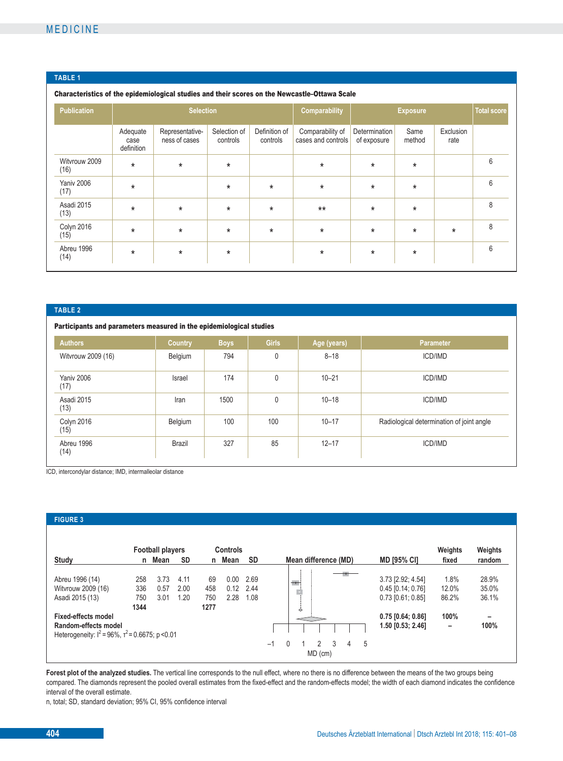# MEDICINE

#### **TABLE 1**

#### Characteristics of the epidemiological studies and their scores on the Newcastle–Ottawa Scale

| <b>Publication</b>    |                                | <b>Selection</b>                 |                          |                           | Comparability                          |                                     | <b>Total score</b> |                   |   |
|-----------------------|--------------------------------|----------------------------------|--------------------------|---------------------------|----------------------------------------|-------------------------------------|--------------------|-------------------|---|
|                       | Adequate<br>case<br>definition | Representative-<br>ness of cases | Selection of<br>controls | Definition of<br>controls | Comparability of<br>cases and controls | <b>Determination</b><br>of exposure | Same<br>method     | Exclusion<br>rate |   |
| Witvrouw 2009<br>(16) | $\star$                        | $\star$                          | $\star$                  |                           | $\star$                                | $\star$                             | $\star$            |                   | 6 |
| Yaniv 2006<br>(17)    | $\star$                        |                                  | $\star$                  | $\star$                   | $\star$                                | $\star$                             | $\star$            |                   | 6 |
| Asadi 2015<br>(13)    | $\star$                        | $\star$                          | $\star$                  | $\star$                   | $**$                                   | $\star$                             | $\star$            |                   | 8 |
| Colyn 2016<br>(15)    | $\star$                        | $\star$                          | $\star$                  | $\star$                   | $\star$                                | $\star$                             | $\star$            | $\star$           | 8 |
| Abreu 1996<br>(14)    | $\star$                        | *                                | $^\star$                 |                           | $\star$                                | $\star$                             | $\star$            |                   | 6 |

#### **TABLE 2**

#### Participants and parameters measured in the epidemiological studies

| <b>Authors</b>            | <b>Country</b> | <b>Boys</b> | <b>Girls</b> | Age (years) | <b>Parameter</b>                          |
|---------------------------|----------------|-------------|--------------|-------------|-------------------------------------------|
| Witvrouw 2009 (16)        | Belgium        | 794         | 0            | $8 - 18$    | <b>ICD/IMD</b>                            |
| Yaniv 2006<br>(17)        | Israel         | 174         | 0            | $10 - 21$   | <b>ICD/IMD</b>                            |
| Asadi 2015<br>(13)        | Iran           | 1500        | 0            | $10 - 18$   | <b>ICD/IMD</b>                            |
| <b>Colyn 2016</b><br>(15) | Belgium        | 100         | 100          | $10 - 17$   | Radiological determination of joint angle |
| Abreu 1996<br>(14)        | <b>Brazil</b>  | 327         | 85           | $12 - 17$   | <b>ICD/IMD</b>                            |

ICD, intercondylar distance; IMD, intermalleolar distance

#### **FIGURE 3**

|                                                                                                               | <b>Football players</b>   |                      |                      | <b>Controls</b>          |                      |                      |                                     |                                                                 | Weights<br>fixed       | Weights<br>random                |
|---------------------------------------------------------------------------------------------------------------|---------------------------|----------------------|----------------------|--------------------------|----------------------|----------------------|-------------------------------------|-----------------------------------------------------------------|------------------------|----------------------------------|
| Study                                                                                                         | Mean<br>SD<br>n.          |                      | Mean<br>n            |                          | <b>SD</b>            | Mean difference (MD) | <b>MD [95% CI]</b>                  |                                                                 |                        |                                  |
| Abreu 1996 (14)<br>Witvrouw 2009 (16)<br>Asadi 2015 (13)                                                      | 258<br>336<br>750<br>1344 | 3.73<br>0.57<br>3.01 | 4.11<br>2.00<br>1.20 | 69<br>458<br>750<br>1277 | 0.00<br>0.12<br>2.28 | 2.69<br>2.44<br>1.08 | $\overline{\phantom{a}}$<br>G)<br>◇ | 3.73 [2.92; 4.54]<br>$0.45$ [0.14; 0.76]<br>$0.73$ [0.61; 0.85] | 1.8%<br>12.0%<br>86.2% | 28.9%<br>35.0%<br>36.1%          |
| <b>Fixed-effects model</b><br>Random-effects model<br>Heterogeneity: $I^2 = 96\%$ , $T^2 = 0.6675$ ; p < 0.01 |                           |                      |                      |                          |                      |                      | 3<br>5<br>2<br>$-1$<br>4<br>MD (cm) | $0.75$ [0.64; 0.86]<br>1.50 [0.53; 2.46]                        | 100%<br>۰              | $\overline{\phantom{0}}$<br>100% |

**Forest plot of the analyzed studies.** The vertical line corresponds to the null effect, where no there is no difference between the means of the two groups being compared. The diamonds represent the pooled overall estimates from the fixed-effect and the random-effects model; the width of each diamond indicates the confidence interval of the overall estimate.

n, total; SD, standard deviation; 95% CI, 95% confidence interval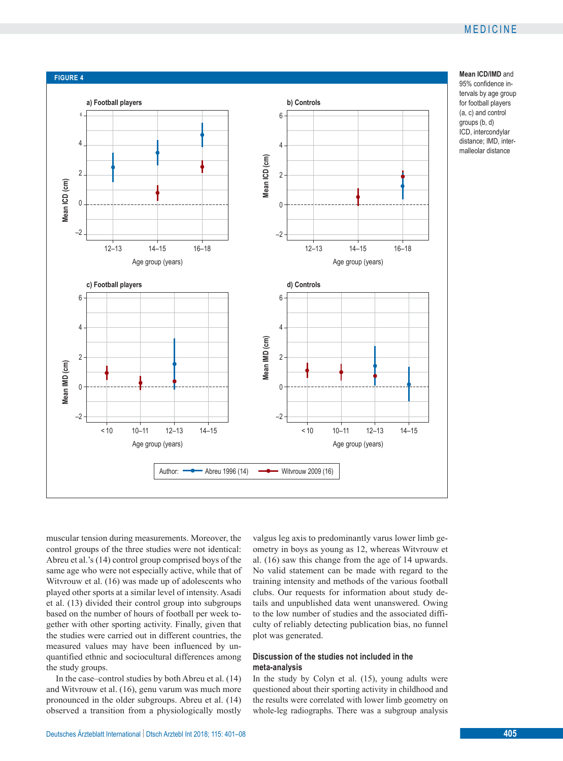

muscular tension during measurements. Moreover, the control groups of the three studies were not identical: Abreu et al.'s (14) control group comprised boys of the same age who were not especially active, while that of Witvrouw et al. (16) was made up of adolescents who played other sports at a similar level of intensity. Asadi et al. (13) divided their control group into subgroups based on the number of hours of football per week together with other sporting activity. Finally, given that the studies were carried out in different countries, the measured values may have been influenced by unquantified ethnic and sociocultural differences among the study groups.

In the case–control studies by both Abreu et al. (14) and Witvrouw et al. (16), genu varum was much more pronounced in the older subgroups. Abreu et al. (14) observed a transition from a physiologically mostly valgus leg axis to predominantly varus lower limb geometry in boys as young as 12, whereas Witvrouw et al. (16) saw this change from the age of 14 upwards. No valid statement can be made with regard to the training intensity and methods of the various football clubs. Our requests for information about study details and unpublished data went unanswered. Owing to the low number of studies and the associated difficulty of reliably detecting publication bias, no funnel plot was generated.

### **Discussion of the studies not included in the meta-analysis**

In the study by Colyn et al. (15), young adults were questioned about their sporting activity in childhood and the results were correlated with lower limb geometry on whole-leg radiographs. There was a subgroup analysis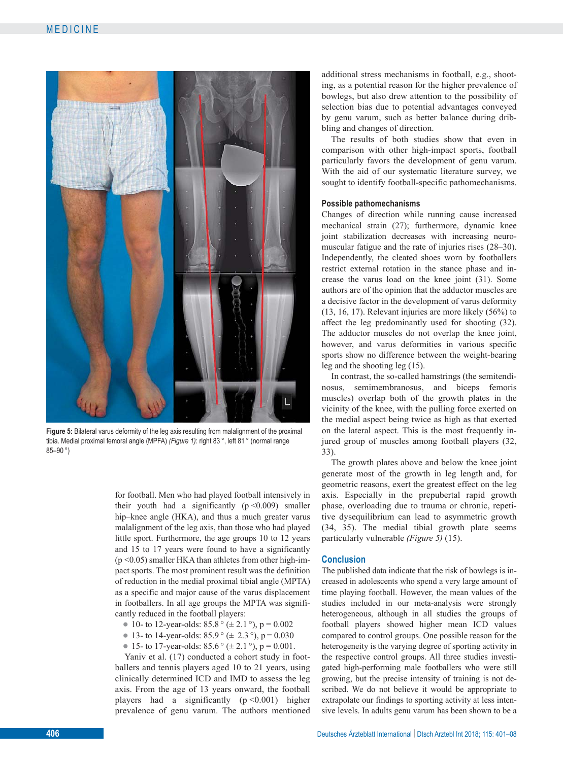

**Figure 5:** Bilateral varus deformity of the leg axis resulting from malalignment of the proximal tibia. Medial proximal femoral angle (MPFA) *(Figure 1)*: right 83 °, left 81 ° (normal range 85–90 °)

for football. Men who had played football intensively in their youth had a significantly  $(p < 0.009)$  smaller hip–knee angle (HKA), and thus a much greater varus malalignment of the leg axis, than those who had played little sport. Furthermore, the age groups 10 to 12 years and 15 to 17 years were found to have a significantly  $(p \le 0.05)$  smaller HKA than athletes from other high-impact sports. The most prominent result was the definition of reduction in the medial proximal tibial angle (MPTA) as a specific and major cause of the varus displacement in footballers. In all age groups the MPTA was significantly reduced in the football players:

- 10- to 12-year-olds:  $85.8^{\circ}$  ( $\pm$  2.1°), p = 0.002
- 13- to 14-year-olds:  $85.9^{\circ}$  ( $\pm$  2.3<sup>o</sup>), p = 0.030
- 15- to 17-year-olds:  $85.6^{\circ}$  ( $\pm$  2.1°), p = 0.001.

Yaniv et al. (17) conducted a cohort study in footballers and tennis players aged 10 to 21 years, using clinically determined ICD and IMD to assess the leg axis. From the age of 13 years onward, the football players had a significantly  $(p \le 0.001)$  higher prevalence of genu varum. The authors mentioned  additional stress mechanisms in football, e.g., shooting, as a potential reason for the higher prevalence of bowlegs, but also drew attention to the possibility of selection bias due to potential advantages conveyed by genu varum, such as better balance during dribbling and changes of direction.

The results of both studies show that even in comparison with other high-impact sports, football particularly favors the development of genu varum. With the aid of our systematic literature survey, we sought to identify football-specific pathomechanisms.

#### **Possible pathomechanisms**

Changes of direction while running cause increased mechanical strain (27); furthermore, dynamic knee joint stabilization decreases with increasing neuromuscular fatigue and the rate of injuries rises (28–30). Independently, the cleated shoes worn by footballers restrict external rotation in the stance phase and increase the varus load on the knee joint (31). Some authors are of the opinion that the adductor muscles are a decisive factor in the development of varus deformity (13, 16, 17). Relevant injuries are more likely (56%) to affect the leg predominantly used for shooting (32). The adductor muscles do not overlap the knee joint, however, and varus deformities in various specific sports show no difference between the weight-bearing leg and the shooting leg (15).

In contrast, the so-called hamstrings (the semitendinosus, semimembranosus, and biceps femoris muscles) overlap both of the growth plates in the vicinity of the knee, with the pulling force exerted on the medial aspect being twice as high as that exerted on the lateral aspect. This is the most frequently injured group of muscles among football players (32, 33).

The growth plates above and below the knee joint generate most of the growth in leg length and, for geometric reasons, exert the greatest effect on the leg axis. Especially in the prepubertal rapid growth phase, overloading due to trauma or chronic, repetitive dysequilibrium can lead to asymmetric growth (34, 35). The medial tibial growth plate seems particularly vulnerable *(Figure 5)* (15).

#### **Conclusion**

The published data indicate that the risk of bowlegs is increased in adolescents who spend a very large amount of time playing football. However, the mean values of the studies included in our meta-analysis were strongly heterogeneous, although in all studies the groups of football players showed higher mean ICD values compared to control groups. One possible reason for the heterogeneity is the varying degree of sporting activity in the respective control groups. All three studies investigated high-performing male footballers who were still growing, but the precise intensity of training is not described. We do not believe it would be appropriate to extrapolate our findings to sporting activity at less intensive levels. In adults genu varum has been shown to be a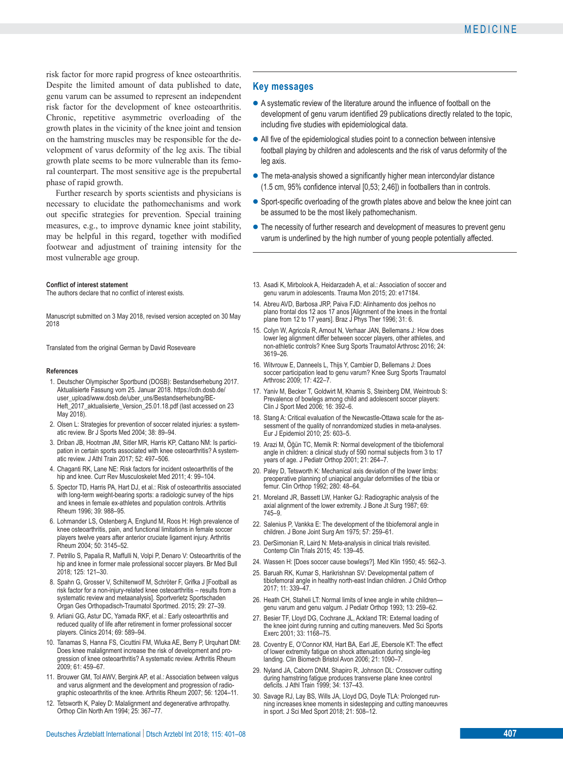risk factor for more rapid progress of knee osteoarthritis. Despite the limited amount of data published to date, genu varum can be assumed to represent an independent risk factor for the development of knee osteoarthritis. Chronic, repetitive asymmetric overloading of the growth plates in the vicinity of the knee joint and tension on the hamstring muscles may be responsible for the development of varus deformity of the leg axis. The tibial growth plate seems to be more vulnerable than its femoral counterpart. The most sensitive age is the prepubertal phase of rapid growth.

Further research by sports scientists and physicians is necessary to elucidate the pathomechanisms and work out specific strategies for prevention. Special training measures, e.g., to improve dynamic knee joint stability, may be helpful in this regard, together with modified footwear and adjustment of training intensity for the most vulnerable age group.

#### **Conflict of interest statement**

The authors declare that no conflict of interest exists.

Manuscript submitted on 3 May 2018, revised version accepted on 30 May 2018

Translated from the original German by David Roseveare

#### **References**

- 1. Deutscher Olympischer Sportbund (DOSB): Bestandserhebung 2017. Aktualisierte Fassung vom 25. Januar 2018. https://cdn.dosb.de/ user\_upload/www.dosb.de/uber\_uns/Bestandserhebung/BE-Heft\_2017\_aktualisierte\_Version\_25.01.18.pdf (last accessed on 23 May 2018).
- 2. Olsen L: Strategies for prevention of soccer related injuries: a systematic review. Br J Sports Med 2004; 38: 89–94.
- 3. Driban JB, Hootman JM, Sitler MR, Harris KP, Cattano NM: Is participation in certain sports associated with knee osteoarthritis? A systematic review. J Athl Train 2017; 52: 497–506.
- 4. Chaganti RK, Lane NE: Risk factors for incident osteoarthritis of the hip and knee. Curr Rev Musculoskelet Med 2011; 4: 99–104.
- 5. Spector TD, Harris PA, Hart DJ, et al.: Risk of osteoarthritis associated with long-term weight-bearing sports: a radiologic survey of the hips and knees in female ex-athletes and population controls. Arthritis Rheum 1996; 39: 988–95.
- 6. Lohmander LS, Ostenberg A, Englund M, Roos H: High prevalence of knee osteoarthritis, pain, and functional limitations in female soccer players twelve years after anterior cruciate ligament injury. Arthritis Rheum 2004; 50: 3145–52.
- 7. Petrillo S, Papalia R, Maffulli N, Volpi P, Denaro V: Osteoarthritis of the hip and knee in former male professional soccer players. Br Med Bull 2018; 125: 121–30.
- 8. Spahn G, Grosser V, Schiltenwolf M, Schröter F, Grifka J [Football as risk factor for a non-injury-related knee osteoarthritis – results from a systematic review and metaanalysis]. Sportverletz Sportschaden Organ Ges Orthopadisch-Traumatol Sportmed. 2015; 29: 27–39.
- 9. Arliani GG, Astur DC, Yamada RKF, et al.: Early osteoarthritis and reduced quality of life after retirement in former professional soccer players. Clinics 2014; 69: 589–94.
- 10. Tanamas S, Hanna FS, Cicuttini FM, Wluka AE, Berry P, Urquhart DM: Does knee malalignment increase the risk of development and progression of knee osteoarthritis? A systematic review. Arthritis Rheum 2009; 61: 459–67.
- 11. Brouwer GM, Tol AWV, Bergink AP, et al.: Association between valgus and varus alignment and the development and progression of radiographic osteoarthritis of the knee. Arthritis Rheum 2007; 56: 1204–11.
- 12. Tetsworth K, Paley D: Malalignment and degenerative arthropathy. Orthop Clin North Am 1994; 25: 367–77.

#### **Key messages**

- **●** A systematic review of the literature around the influence of football on the development of genu varum identified 29 publications directly related to the topic, including five studies with epidemiological data.
- All five of the epidemiological studies point to a connection between intensive football playing by children and adolescents and the risk of varus deformity of the leg axis.
- **●** The meta-analysis showed a significantly higher mean intercondylar distance (1.5 cm, 95% confidence interval [0,53; 2,46]) in footballers than in controls.
- Sport-specific overloading of the growth plates above and below the knee joint can be assumed to be the most likely pathomechanism.
- **●** The necessity of further research and development of measures to prevent genu varum is underlined by the high number of young people potentially affected.
- 13. Asadi K, Mirbolook A, Heidarzadeh A, et al.: Association of soccer and genu varum in adolescents. Trauma Mon 2015; 20: e17184.
- 14. Abreu AVD, Barbosa JRP, Paiva FJD: Alinhamento dos joelhos no plano frontal dos 12 aos 17 anos [Alignment of the knees in the frontal plane from 12 to 17 years]. Braz J Phys Ther 1996; 31: 6.
- 15. Colyn W, Agricola R, Arnout N, Verhaar JAN, Bellemans J: How does lower leg alignment differ between soccer players, other athletes, and non-athletic controls? Knee Surg Sports Traumatol Arthrosc 2016; 24: 3619–26.
- 16. Witvrouw E, Danneels L, Thijs Y, Cambier D, Bellemans J: Does soccer participation lead to genu varum? Knee Surg Sports Traumatol Arthrosc 2009; 17: 422–7.
- 17. Yaniv M, Becker T, Goldwirt M, Khamis S, Steinberg DM, Weintroub S: Prevalence of bowlegs among child and adolescent soccer players: Clin J Sport Med 2006; 16: 392–6.
- 18. Stang A: Critical evaluation of the Newcastle-Ottawa scale for the assessment of the quality of nonrandomized studies in meta-analyses. Eur J Epidemiol 2010; 25: 603–5.
- 19. Arazi M, Öğün TC, Memik R: Normal development of the tibiofemoral angle in children: a clinical study of 590 normal subjects from 3 to 17 years of age. J Pediatr Orthop 2001; 21: 264–7.
- 20. Paley D, Tetsworth K: Mechanical axis deviation of the lower limbs: preoperative planning of uniapical angular deformities of the tibia or femur. Clin Orthop 1992; 280: 48–64.
- 21. Moreland JR, Bassett LW, Hanker GJ: Radiographic analysis of the axial alignment of the lower extremity. J Bone Jt Surg 1987; 69: 745–9.
- 22. Salenius P, Vankka E: The development of the tibiofemoral angle in children. J Bone Joint Surg Am 1975; 57: 259–61.
- 23. DerSimonian R, Laird N: Meta-analysis in clinical trials revisited. Contemp Clin Trials 2015; 45: 139–45.
- 24. Wassen H: [Does soccer cause bowlegs?]. Med Klin 1950; 45: 562–3.
- 25. Baruah RK, Kumar S, Harikrishnan SV: Developmental pattern of tibiofemoral angle in healthy north-east Indian children. J Child Orthop 2017; 11: 339–47.
- 26. Heath CH, Staheli LT: Normal limits of knee angle in white children genu varum and genu valgum. J Pediatr Orthop 1993; 13: 259–62.
- 27. Besier TF, Lloyd DG, Cochrane JL, Ackland TR: External loading of the knee joint during running and cutting maneuvers. Med Sci Sports Exerc 2001; 33: 1168–75.
- 28. Coventry E, O'Connor KM, Hart BA, Earl JE, Ebersole KT: The effect of lower extremity fatigue on shock attenuation during single-leg landing. Clin Biomech Bristol Avon 2006; 21: 1090–7.
- 29. Nyland JA, Caborn DNM, Shapiro R, Johnson DL: Crossover cutting during hamstring fatigue produces transverse plane knee control deficits. J Athl Train 1999; 34: 137–43.
- 30. Savage RJ, Lay BS, Wills JA, Lloyd DG, Doyle TLA: Prolonged running increases knee moments in sidestepping and cutting manoeuvres in sport. J Sci Med Sport 2018; 21: 508–12.